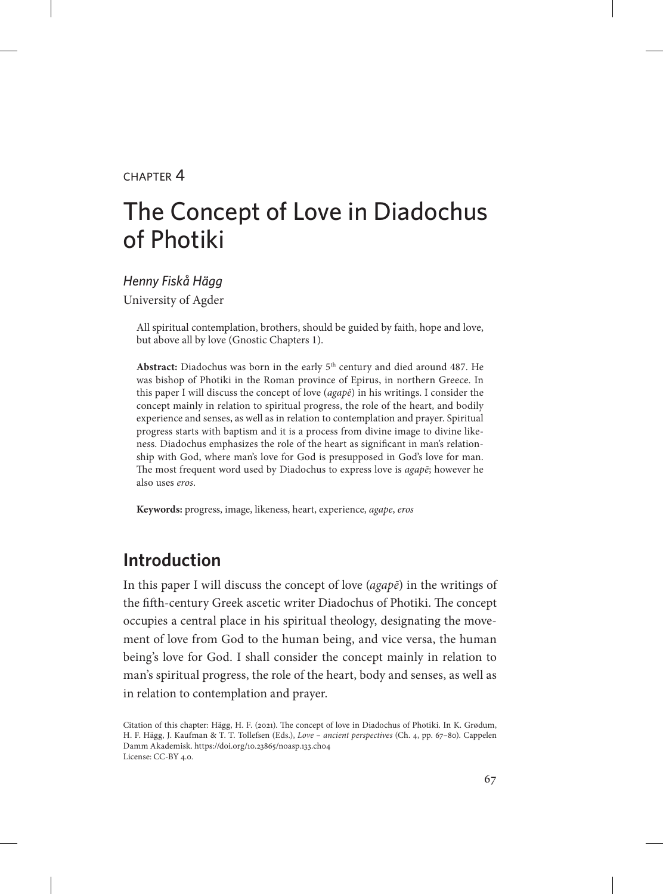#### $CHAPTER$  $4$

# The Concept of Love in Diadochus of Photiki

# *Henny Fiskå Hägg*

University of Agder

All spiritual contemplation, brothers, should be guided by faith, hope and love, but above all by love (Gnostic Chapters 1).

**Abstract:** Diadochus was born in the early 5th century and died around 487. He was bishop of Photiki in the Roman province of Epirus, in northern Greece. In this paper I will discuss the concept of love (*agapē*) in his writings. I consider the concept mainly in relation to spiritual progress, the role of the heart, and bodily experience and senses, as well as in relation to contemplation and prayer. Spiritual progress starts with baptism and it is a process from divine image to divine likeness. Diadochus emphasizes the role of the heart as significant in man's relationship with God, where man's love for God is presupposed in God's love for man. The most frequent word used by Diadochus to express love is *agapē*; however he also uses *eros*.

**Keywords:** progress, image, likeness, heart, experience, *agape*, *eros*

## **Introduction**

In this paper I will discuss the concept of love (*agapē*) in the writings of the fifth-century Greek ascetic writer Diadochus of Photiki. The concept occupies a central place in his spiritual theology, designating the movement of love from God to the human being, and vice versa, the human being's love for God. I shall consider the concept mainly in relation to man's spiritual progress, the role of the heart, body and senses, as well as in relation to contemplation and prayer.

Citation of this chapter: Hägg, H. F. (2021). The concept of love in Diadochus of Photiki. In K. Grødum, H. F. Hägg, J. Kaufman & T. T. Tollefsen (Eds.), *Love – ancient perspectives* (Ch. 4, pp. 67–80). Cappelen Damm Akademisk. https://doi.org/10.23865/noasp.133.ch04 License: CC-BY 4.0.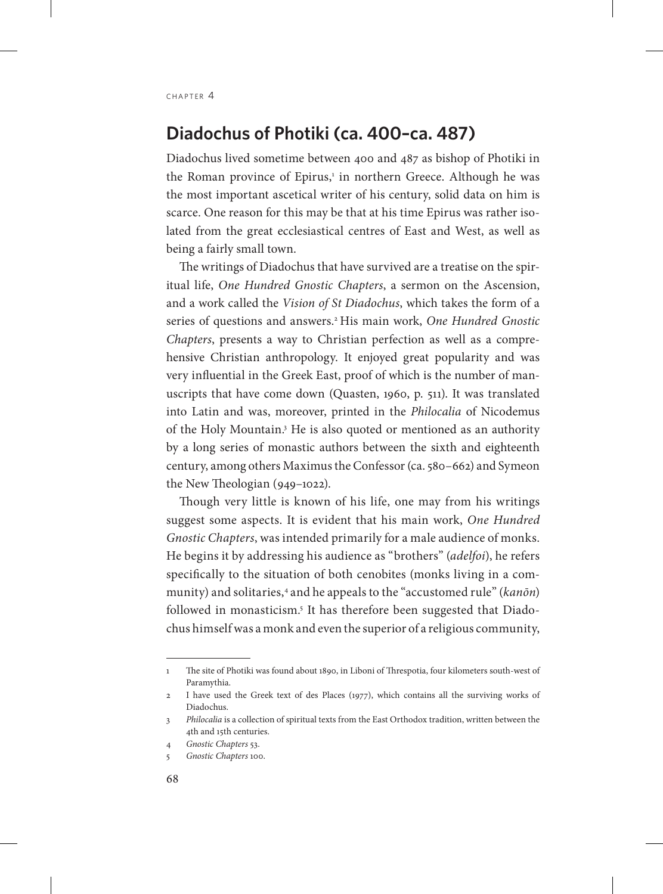#### **Diadochus of Photiki (ca. 400–ca. 487)**

Diadochus lived sometime between 400 and 487 as bishop of Photiki in the Roman province of Epirus,<sup>1</sup> in northern Greece. Although he was the most important ascetical writer of his century, solid data on him is scarce. One reason for this may be that at his time Epirus was rather isolated from the great ecclesiastical centres of East and West, as well as being a fairly small town.

The writings of Diadochus that have survived are a treatise on the spiritual life, *One Hundred Gnostic Chapters*, a sermon on the Ascension, and a work called the *Vision of St Diadochus*, which takes the form of a series of questions and answers.2 His main work, *One Hundred Gnostic Chapters*, presents a way to Christian perfection as well as a comprehensive Christian anthropology. It enjoyed great popularity and was very influential in the Greek East, proof of which is the number of manuscripts that have come down (Quasten, 1960, p. 511). It was translated into Latin and was, moreover, printed in the *Philocalia* of Nicodemus of the Holy Mountain.<sup>3</sup> He is also quoted or mentioned as an authority by a long series of monastic authors between the sixth and eighteenth century, among others Maximus the Confessor (ca. 580–662) and Symeon the New Theologian (949–1022).

Though very little is known of his life, one may from his writings suggest some aspects. It is evident that his main work, *One Hundred Gnostic Chapters*, was intended primarily for a male audience of monks. He begins it by addressing his audience as "brothers" (*adelfoi*), he refers specifically to the situation of both cenobites (monks living in a community) and solitaries,<sup>4</sup> and he appeals to the "accustomed rule" (*kanōn*) followed in monasticism.<sup>5</sup> It has therefore been suggested that Diadochus himself was a monk and even the superior of a religious community,

<sup>1</sup> The site of Photiki was found about 1890, in Liboni of Threspotia, four kilometers south-west of Paramythia.

<sup>2</sup> I have used the Greek text of des Places (1977), which contains all the surviving works of Diadochus.

<sup>3</sup> *Philocalia* is a collection of spiritual texts from the East Orthodox tradition, written between the 4th and 15th centuries.

<sup>4</sup> *Gnostic Chapters* 53.

<sup>5</sup> *Gnostic Chapters* 100.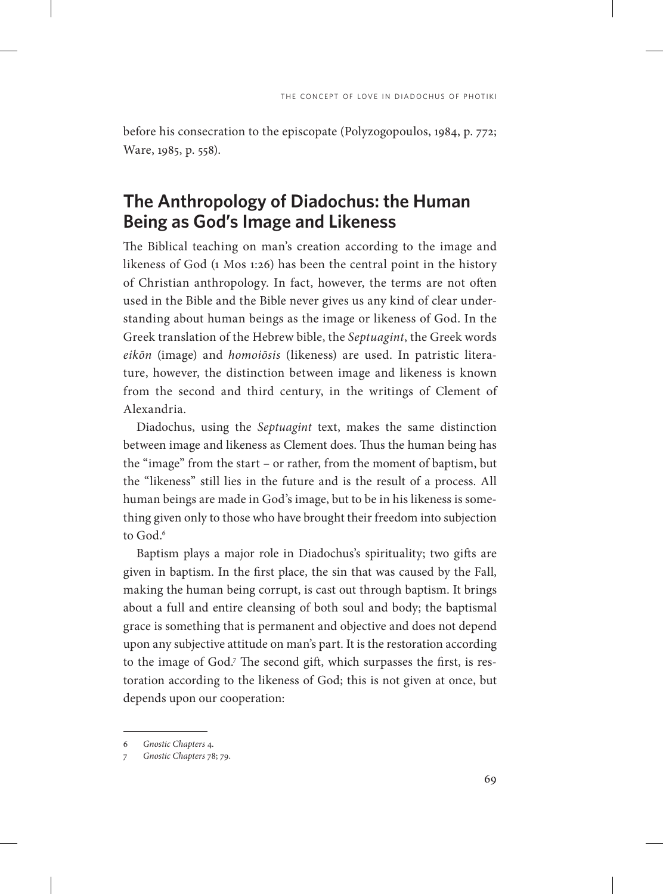before his consecration to the episcopate (Polyzogopoulos, 1984, p. 772; Ware, 1985, p. 558).

#### **The Anthropology of Diadochus: the Human Being as God's Image and Likeness**

The Biblical teaching on man's creation according to the image and likeness of God (1 Mos 1:26) has been the central point in the history of Christian anthropology. In fact, however, the terms are not often used in the Bible and the Bible never gives us any kind of clear understanding about human beings as the image or likeness of God. In the Greek translation of the Hebrew bible, the *Septuagint*, the Greek words *eikōn* (image) and *homoiōsis* (likeness) are used. In patristic literature, however, the distinction between image and likeness is known from the second and third century, in the writings of Clement of Alexandria.

Diadochus, using the *Septuagint* text, makes the same distinction between image and likeness as Clement does. Thus the human being has the "image" from the start – or rather, from the moment of baptism, but the "likeness" still lies in the future and is the result of a process. All human beings are made in God's image, but to be in his likeness is something given only to those who have brought their freedom into subjection to God $<sup>6</sup>$ </sup>

Baptism plays a major role in Diadochus's spirituality; two gifts are given in baptism. In the first place, the sin that was caused by the Fall, making the human being corrupt, is cast out through baptism. It brings about a full and entire cleansing of both soul and body; the baptismal grace is something that is permanent and objective and does not depend upon any subjective attitude on man's part. It is the restoration according to the image of God.7 The second gift, which surpasses the first, is restoration according to the likeness of God; this is not given at once, but depends upon our cooperation:

<sup>6</sup> *Gnostic Chapters* 4.

<sup>7</sup> *Gnostic Chapters* 78; 79.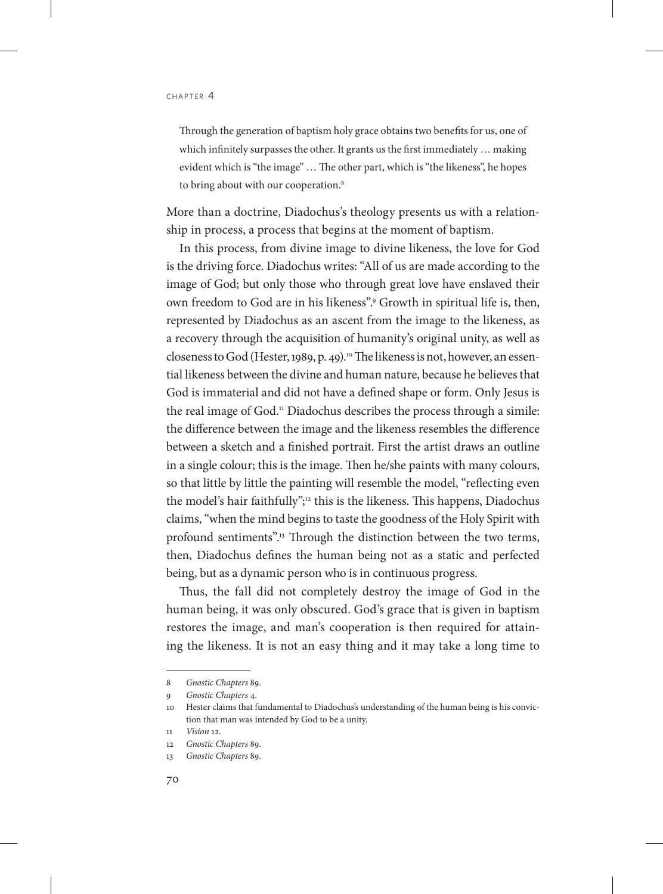Through the generation of baptism holy grace obtains two benefits for us, one of which infinitely surpasses the other. It grants us the first immediately … making evident which is "the image" … The other part, which is "the likeness", he hopes to bring about with our cooperation.<sup>8</sup>

More than a doctrine, Diadochus's theology presents us with a relationship in process, a process that begins at the moment of baptism.

In this process, from divine image to divine likeness, the love for God is the driving force. Diadochus writes: "All of us are made according to the image of God; but only those who through great love have enslaved their own freedom to God are in his likeness".9 Growth in spiritual life is, then, represented by Diadochus as an ascent from the image to the likeness, as a recovery through the acquisition of humanity's original unity, as well as closeness to God (Hester, 1989, p. 49).<sup>10</sup> The likeness is not, however, an essential likeness between the divine and human nature, because he believes that God is immaterial and did not have a defined shape or form. Only Jesus is the real image of God.<sup>11</sup> Diadochus describes the process through a simile: the difference between the image and the likeness resembles the difference between a sketch and a finished portrait. First the artist draws an outline in a single colour; this is the image. Then he/she paints with many colours, so that little by little the painting will resemble the model, "reflecting even the model's hair faithfully";12 this is the likeness. This happens, Diadochus claims, "when the mind begins to taste the goodness of the Holy Spirit with profound sentiments".<sup>13</sup> Through the distinction between the two terms, then, Diadochus defines the human being not as a static and perfected being, but as a dynamic person who is in continuous progress.

Thus, the fall did not completely destroy the image of God in the human being, it was only obscured. God's grace that is given in baptism restores the image, and man's cooperation is then required for attaining the likeness. It is not an easy thing and it may take a long time to

<sup>8</sup> *Gnostic Chapters* 89.

<sup>9</sup> *Gnostic Chapters* 4.

<sup>10</sup> Hester claims that fundamental to Diadochus's understanding of the human being is his conviction that man was intended by God to be a unity.

<sup>11</sup> *Vision* 12.

<sup>12</sup> *Gnostic Chapters* 89.

<sup>13</sup> *Gnostic Chapters* 89.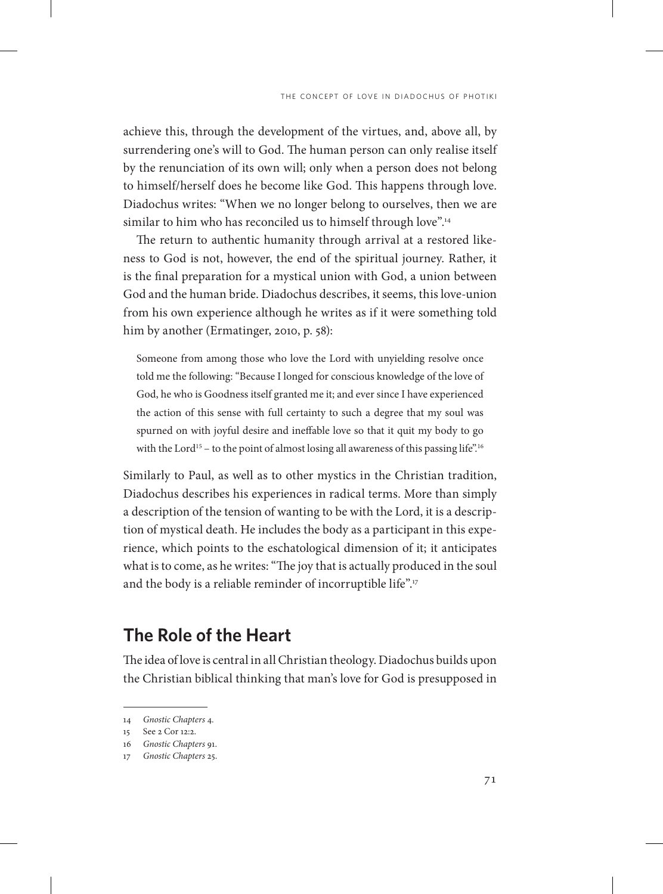achieve this, through the development of the virtues, and, above all, by surrendering one's will to God. The human person can only realise itself by the renunciation of its own will; only when a person does not belong to himself/herself does he become like God. This happens through love. Diadochus writes: "When we no longer belong to ourselves, then we are similar to him who has reconciled us to himself through love".<sup>14</sup>

The return to authentic humanity through arrival at a restored likeness to God is not, however, the end of the spiritual journey. Rather, it is the final preparation for a mystical union with God, a union between God and the human bride. Diadochus describes, it seems, this love-union from his own experience although he writes as if it were something told him by another (Ermatinger, 2010, p. 58):

Someone from among those who love the Lord with unyielding resolve once told me the following: "Because I longed for conscious knowledge of the love of God, he who is Goodness itself granted me it; and ever since I have experienced the action of this sense with full certainty to such a degree that my soul was spurned on with joyful desire and ineffable love so that it quit my body to go with the Lord<sup>15</sup> – to the point of almost losing all awareness of this passing life".<sup>16</sup>

Similarly to Paul, as well as to other mystics in the Christian tradition, Diadochus describes his experiences in radical terms. More than simply a description of the tension of wanting to be with the Lord, it is a description of mystical death. He includes the body as a participant in this experience, which points to the eschatological dimension of it; it anticipates what is to come, as he writes: "The joy that is actually produced in the soul and the body is a reliable reminder of incorruptible life".<sup>17</sup>

#### **The Role of the Heart**

The idea of love is central in all Christian theology. Diadochus builds upon the Christian biblical thinking that man's love for God is presupposed in

<sup>14</sup> *Gnostic Chapters* 4.

<sup>15</sup> See 2 Cor 12:2.

<sup>16</sup> *Gnostic Chapters* 91.

<sup>17</sup> *Gnostic Chapters* 25.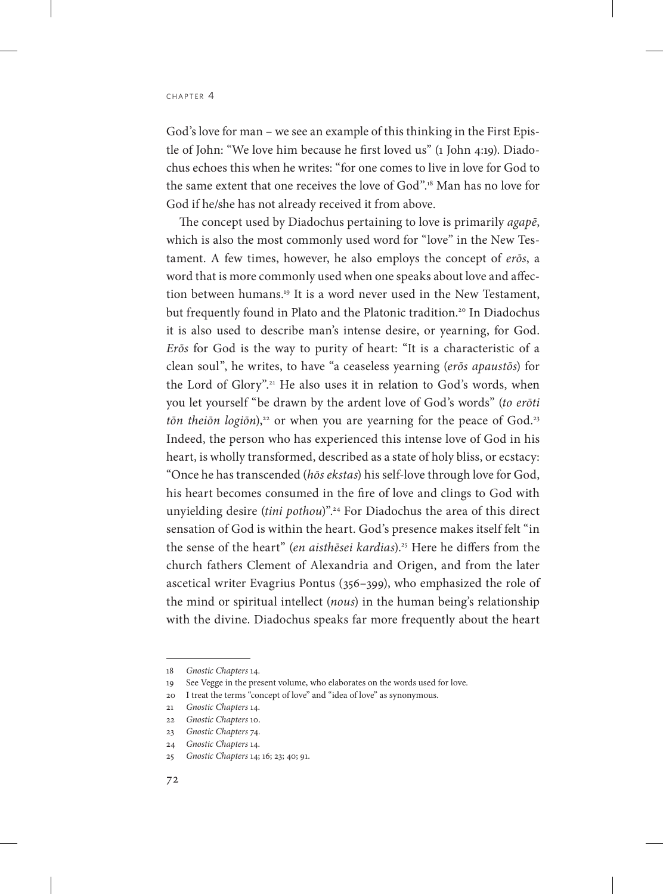God's love for man – we see an example of this thinking in the First Epistle of John: "We love him because he first loved us" (1 John 4:19). Diadochus echoes this when he writes: "for one comes to live in love for God to the same extent that one receives the love of God".18 Man has no love for God if he/she has not already received it from above.

The concept used by Diadochus pertaining to love is primarily *agapē*, which is also the most commonly used word for "love" in the New Testament. A few times, however, he also employs the concept of *erōs*, a word that is more commonly used when one speaks about love and affection between humans.19 It is a word never used in the New Testament, but frequently found in Plato and the Platonic tradition.<sup>20</sup> In Diadochus it is also used to describe man's intense desire, or yearning, for God. *Erōs* for God is the way to purity of heart: "It is a characteristic of a clean soul", he writes, to have "a ceaseless yearning (*erōs apaustōs*) for the Lord of Glory".<sup>21</sup> He also uses it in relation to God's words, when you let yourself "be drawn by the ardent love of God's words" (*to erōti tōn theiōn logiōn*),<sup>22</sup> or when you are yearning for the peace of God.<sup>23</sup> Indeed, the person who has experienced this intense love of God in his heart, is wholly transformed, described as a state of holy bliss, or ecstacy: "Once he has transcended (*hōs ekstas*) his self-love through love for God, his heart becomes consumed in the fire of love and clings to God with unyielding desire (*tini pothou*)".24 For Diadochus the area of this direct sensation of God is within the heart. God's presence makes itself felt "in the sense of the heart" (*en aisthēsei kardias*).<sup>25</sup> Here he differs from the church fathers Clement of Alexandria and Origen, and from the later ascetical writer Evagrius Pontus (356–399), who emphasized the role of the mind or spiritual intellect (*nous*) in the human being's relationship with the divine. Diadochus speaks far more frequently about the heart

<sup>18</sup> *Gnostic Chapters* 14.

<sup>19</sup> See Vegge in the present volume, who elaborates on the words used for love.

<sup>20</sup> I treat the terms "concept of love" and "idea of love" as synonymous.

<sup>21</sup> *Gnostic Chapters* 14.

<sup>22</sup> *Gnostic Chapters* 10.

<sup>23</sup> *Gnostic Chapters* 74.

<sup>24</sup> *Gnostic Chapters* 14.

<sup>25</sup> *Gnostic Chapters* 14; 16; 23; 40; 91.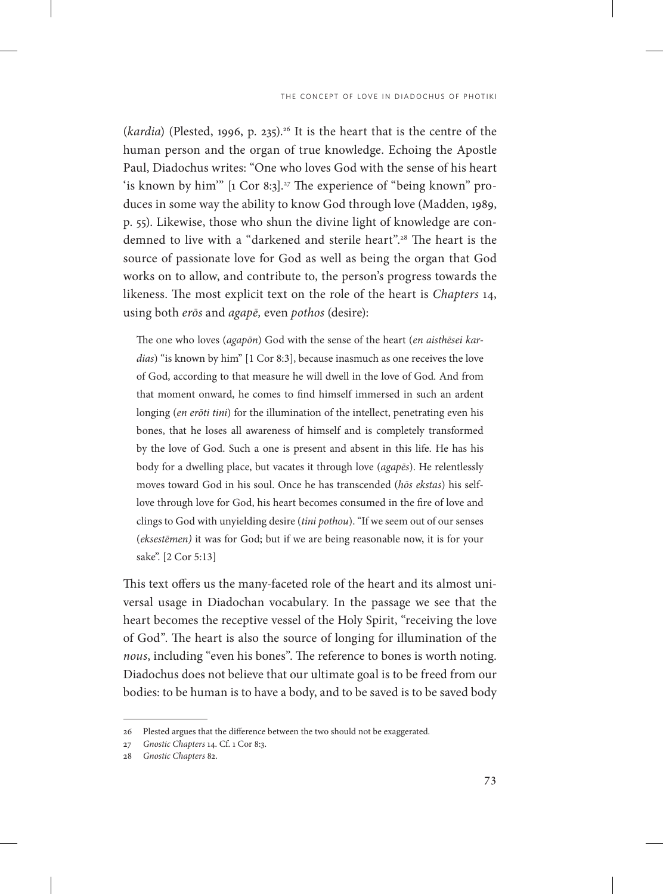(*kardia*) (Plested, 1996, p. 235).<sup>26</sup> It is the heart that is the centre of the human person and the organ of true knowledge. Echoing the Apostle Paul, Diadochus writes: "One who loves God with the sense of his heart 'is known by him'" [1 Cor 8:3].<sup>27</sup> The experience of "being known" produces in some way the ability to know God through love (Madden, 1989, p. 55). Likewise, those who shun the divine light of knowledge are condemned to live with a "darkened and sterile heart".28 The heart is the source of passionate love for God as well as being the organ that God works on to allow, and contribute to, the person's progress towards the likeness. The most explicit text on the role of the heart is *Chapters* 14, using both *erōs* and *agapē,* even *pothos* (desire):

The one who loves (*agapōn*) God with the sense of the heart (*en aisthēsei kardias*) "is known by him" [1 Cor 8:3], because inasmuch as one receives the love of God, according to that measure he will dwell in the love of God. And from that moment onward, he comes to find himself immersed in such an ardent longing (*en erōti tini*) for the illumination of the intellect, penetrating even his bones, that he loses all awareness of himself and is completely transformed by the love of God. Such a one is present and absent in this life. He has his body for a dwelling place, but vacates it through love (*agapēs*). He relentlessly moves toward God in his soul. Once he has transcended (*hōs ekstas*) his selflove through love for God, his heart becomes consumed in the fire of love and clings to God with unyielding desire (*tini pothou*). "If we seem out of our senses (*eksestēmen)* it was for God; but if we are being reasonable now, it is for your sake". [2 Cor 5:13]

This text offers us the many-faceted role of the heart and its almost universal usage in Diadochan vocabulary. In the passage we see that the heart becomes the receptive vessel of the Holy Spirit, "receiving the love of God". The heart is also the source of longing for illumination of the *nous*, including "even his bones". The reference to bones is worth noting. Diadochus does not believe that our ultimate goal is to be freed from our bodies: to be human is to have a body, and to be saved is to be saved body

<sup>26</sup> Plested argues that the difference between the two should not be exaggerated.

<sup>27</sup> *Gnostic Chapters* 14. Cf. 1 Cor 8:3.

<sup>28</sup> *Gnostic Chapters* 82.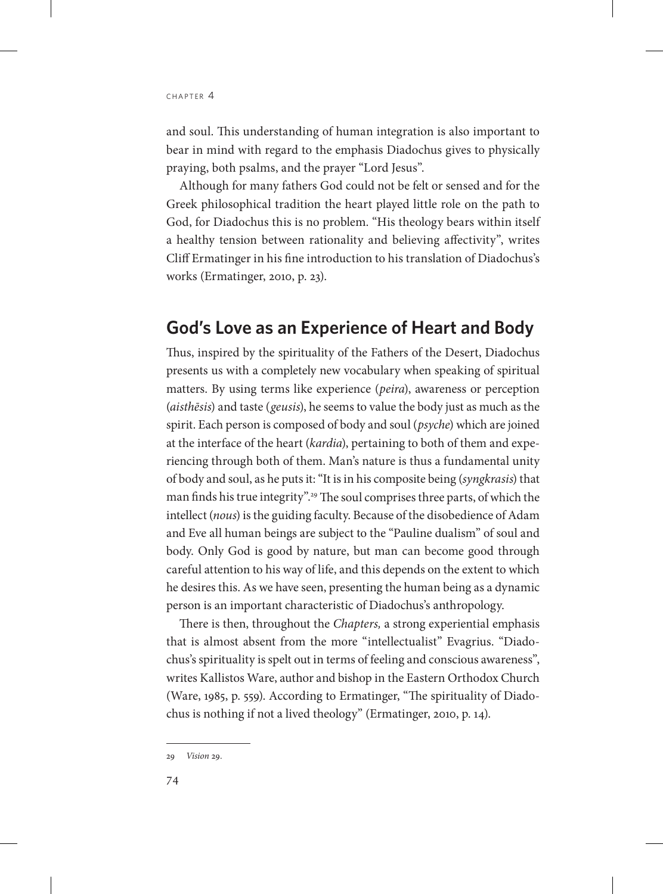and soul. This understanding of human integration is also important to bear in mind with regard to the emphasis Diadochus gives to physically praying, both psalms, and the prayer "Lord Jesus".

Although for many fathers God could not be felt or sensed and for the Greek philosophical tradition the heart played little role on the path to God, for Diadochus this is no problem. "His theology bears within itself a healthy tension between rationality and believing affectivity", writes Cliff Ermatinger in his fine introduction to his translation of Diadochus's works (Ermatinger, 2010, p. 23).

#### **God's Love as an Experience of Heart and Body**

Thus, inspired by the spirituality of the Fathers of the Desert, Diadochus presents us with a completely new vocabulary when speaking of spiritual matters. By using terms like experience (*peira*), awareness or perception (*aisthēsis*) and taste (*geusis*), he seems to value the body just as much as the spirit. Each person is composed of body and soul (*psyche*) which are joined at the interface of the heart (*kardia*), pertaining to both of them and experiencing through both of them. Man's nature is thus a fundamental unity of body and soul, as he puts it: "It is in his composite being (*syngkrasis*) that man finds his true integrity".29 The soul comprises three parts, of which the intellect (*nous*) is the guiding faculty. Because of the disobedience of Adam and Eve all human beings are subject to the "Pauline dualism" of soul and body. Only God is good by nature, but man can become good through careful attention to his way of life, and this depends on the extent to which he desires this. As we have seen, presenting the human being as a dynamic person is an important characteristic of Diadochus's anthropology.

There is then, throughout the *Chapters,* a strong experiential emphasis that is almost absent from the more "intellectualist" Evagrius. "Diadochus's spirituality is spelt out in terms of feeling and conscious awareness", writes Kallistos Ware, author and bishop in the Eastern Orthodox Church (Ware, 1985, p. 559). According to Ermatinger, "The spirituality of Diadochus is nothing if not a lived theology" (Ermatinger, 2010, p. 14).

<sup>29</sup> *Vision* 29.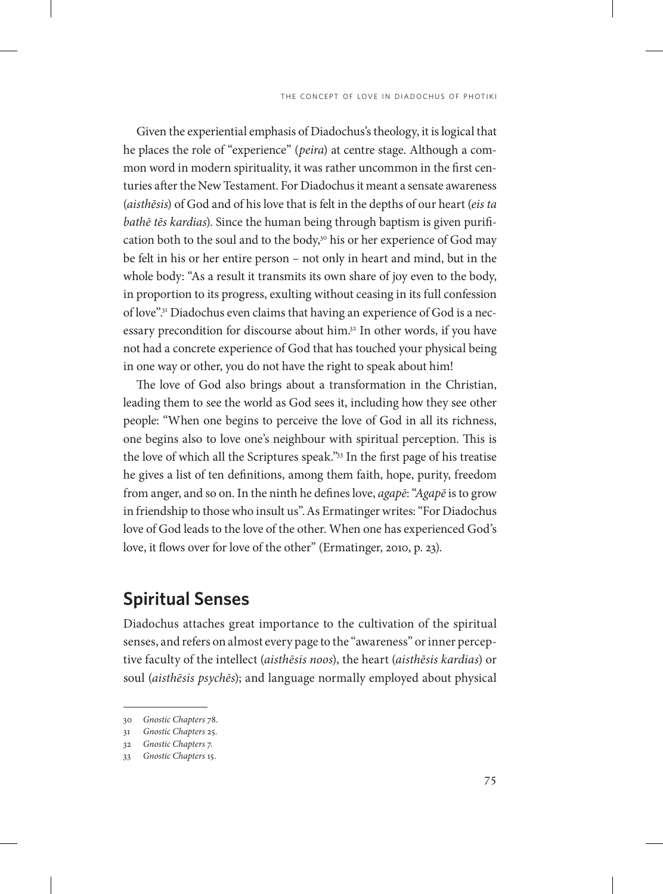Given the experiential emphasis of Diadochus's theology, it is logical that he places the role of "experience" (*peira*) at centre stage. Although a common word in modern spirituality, it was rather uncommon in the first centuries after the New Testament. For Diadochus it meant a sensate awareness (*aisthēsis*) of God and of his love that is felt in the depths of our heart (*eis ta bathē tēs kardias*). Since the human being through baptism is given purification both to the soul and to the body,<sup>30</sup> his or her experience of God may be felt in his or her entire person – not only in heart and mind, but in the whole body: "As a result it transmits its own share of joy even to the body, in proportion to its progress, exulting without ceasing in its full confession of love".31 Diadochus even claims that having an experience of God is a necessary precondition for discourse about him.<sup>32</sup> In other words, if you have not had a concrete experience of God that has touched your physical being in one way or other, you do not have the right to speak about him!

The love of God also brings about a transformation in the Christian, leading them to see the world as God sees it, including how they see other people: "When one begins to perceive the love of God in all its richness, one begins also to love one's neighbour with spiritual perception. This is the love of which all the Scriptures speak."33 In the first page of his treatise he gives a list of ten definitions, among them faith, hope, purity, freedom from anger, and so on. In the ninth he defines love, *agapē*: "*Agapē* is to grow in friendship to those who insult us".As Ermatinger writes: "For Diadochus love of God leads to the love of the other. When one has experienced God's love, it flows over for love of the other" (Ermatinger, 2010, p. 23).

#### **Spiritual Senses**

Diadochus attaches great importance to the cultivation of the spiritual senses, and refers on almost every page to the "awareness" or inner perceptive faculty of the intellect (*aisthēsis noos*), the heart (*aisthēsis kardias*) or soul (*aisthēsis psychēs*); and language normally employed about physical

<sup>30</sup> *Gnostic Chapters* 78.

<sup>31</sup> *Gnostic Chapters* 25.

<sup>32</sup> *Gnostic Chapters* 7.

<sup>33</sup> *Gnostic Chapters* 15.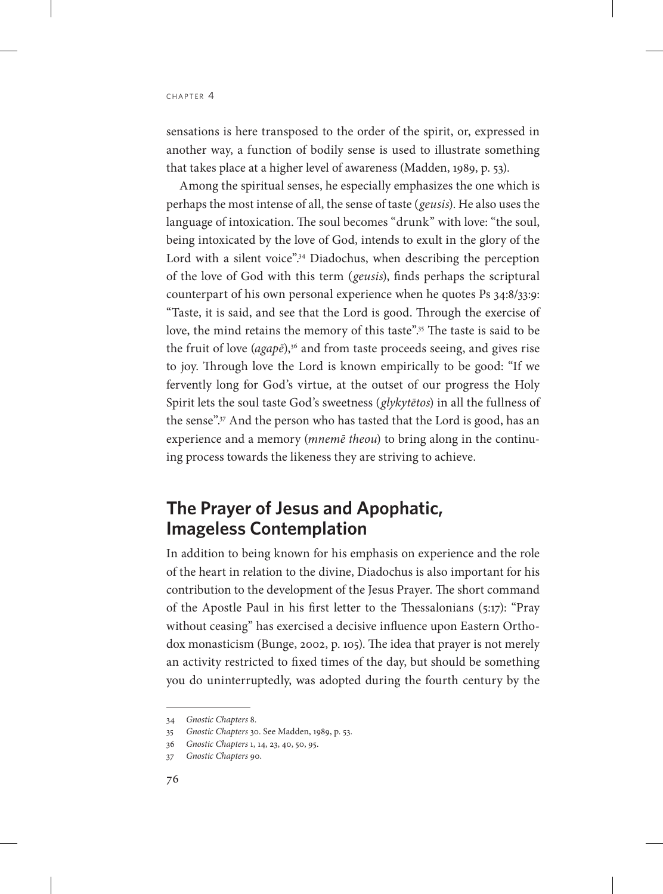sensations is here transposed to the order of the spirit, or, expressed in another way, a function of bodily sense is used to illustrate something that takes place at a higher level of awareness (Madden, 1989, p. 53).

Among the spiritual senses, he especially emphasizes the one which is perhaps the most intense of all, the sense of taste (*geusis*). He also uses the language of intoxication. The soul becomes "drunk" with love: "the soul, being intoxicated by the love of God, intends to exult in the glory of the Lord with a silent voice".<sup>34</sup> Diadochus, when describing the perception of the love of God with this term (*geusis*), finds perhaps the scriptural counterpart of his own personal experience when he quotes Ps 34:8/33:9: "Taste, it is said, and see that the Lord is good. Through the exercise of love, the mind retains the memory of this taste".<sup>35</sup> The taste is said to be the fruit of love (*agapē*),<sup>36</sup> and from taste proceeds seeing, and gives rise to joy. Through love the Lord is known empirically to be good: "If we fervently long for God's virtue, at the outset of our progress the Holy Spirit lets the soul taste God's sweetness (*glykytētos*) in all the fullness of the sense".<sup>37</sup> And the person who has tasted that the Lord is good, has an experience and a memory (*mnemē theou*) to bring along in the continuing process towards the likeness they are striving to achieve.

## **The Prayer of Jesus and Apophatic, Imageless Contemplation**

In addition to being known for his emphasis on experience and the role of the heart in relation to the divine, Diadochus is also important for his contribution to the development of the Jesus Prayer. The short command of the Apostle Paul in his first letter to the Thessalonians (5:17): "Pray without ceasing" has exercised a decisive influence upon Eastern Orthodox monasticism (Bunge, 2002, p. 105). The idea that prayer is not merely an activity restricted to fixed times of the day, but should be something you do uninterruptedly, was adopted during the fourth century by the

<sup>34</sup> *Gnostic Chapters* 8.

<sup>35</sup> *Gnostic Chapters* 30. See Madden, 1989, p. 53.

<sup>36</sup> *Gnostic Chapters* 1, 14, 23, 40, 50, 95.

<sup>37</sup> *Gnostic Chapters* 90.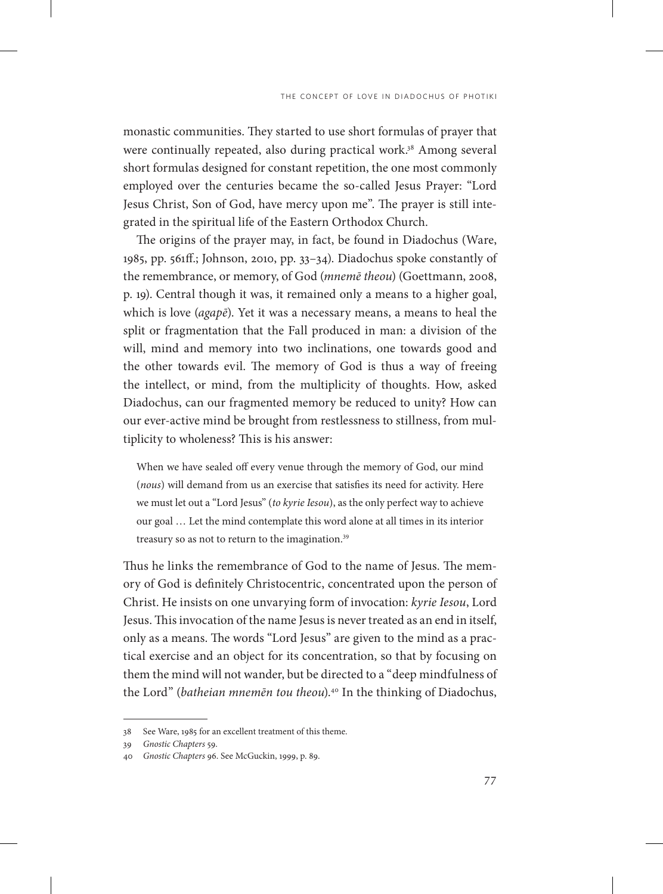monastic communities. They started to use short formulas of prayer that were continually repeated, also during practical work.<sup>38</sup> Among several short formulas designed for constant repetition, the one most commonly employed over the centuries became the so-called Jesus Prayer: "Lord Jesus Christ, Son of God, have mercy upon me". The prayer is still integrated in the spiritual life of the Eastern Orthodox Church.

The origins of the prayer may, in fact, be found in Diadochus (Ware, 1985, pp. 561ff.; Johnson, 2010, pp. 33–34). Diadochus spoke constantly of the remembrance, or memory, of God (*mnemē theou*) (Goettmann, 2008, p. 19). Central though it was, it remained only a means to a higher goal, which is love (*agapē*). Yet it was a necessary means, a means to heal the split or fragmentation that the Fall produced in man: a division of the will, mind and memory into two inclinations, one towards good and the other towards evil. The memory of God is thus a way of freeing the intellect, or mind, from the multiplicity of thoughts. How, asked Diadochus, can our fragmented memory be reduced to unity? How can our ever-active mind be brought from restlessness to stillness, from multiplicity to wholeness? This is his answer:

When we have sealed off every venue through the memory of God, our mind (*nous*) will demand from us an exercise that satisfies its need for activity. Here we must let out a "Lord Jesus" (*to kyrie Iesou*), as the only perfect way to achieve our goal … Let the mind contemplate this word alone at all times in its interior treasury so as not to return to the imagination.<sup>39</sup>

Thus he links the remembrance of God to the name of Jesus. The memory of God is definitely Christocentric, concentrated upon the person of Christ. He insists on one unvarying form of invocation: *kyrie Iesou*, Lord Jesus. This invocation of the name Jesus is never treated as an end in itself, only as a means. The words "Lord Jesus" are given to the mind as a practical exercise and an object for its concentration, so that by focusing on them the mind will not wander, but be directed to a "deep mindfulness of the Lord" (*batheian mnemēn tou theou*).<sup>40</sup> In the thinking of Diadochus,

<sup>38</sup> See Ware, 1985 for an excellent treatment of this theme.

<sup>39</sup> *Gnostic Chapters* 59.

<sup>40</sup> *Gnostic Chapters* 96. See McGuckin, 1999, p. 89.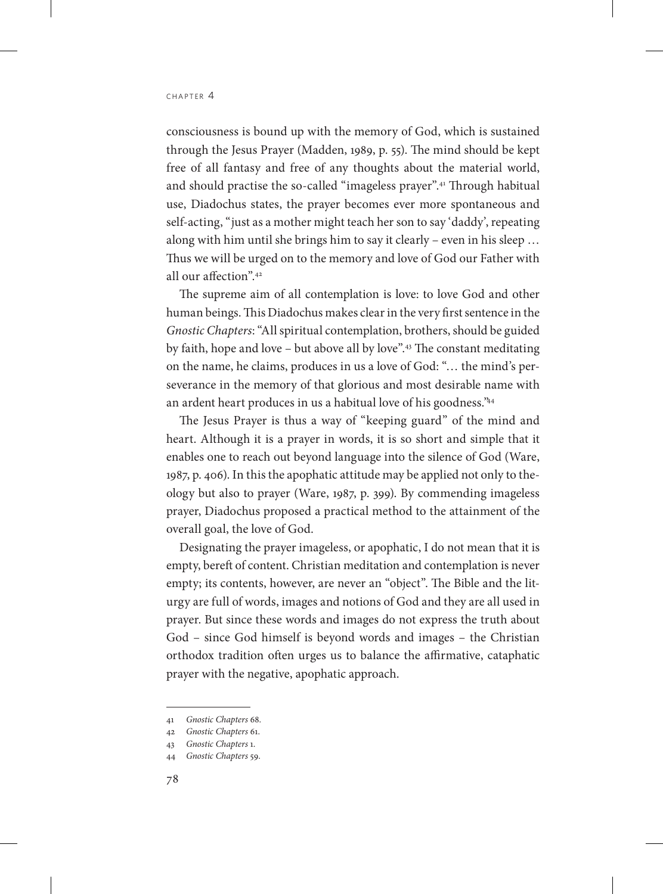consciousness is bound up with the memory of God, which is sustained through the Jesus Prayer (Madden, 1989, p. 55). The mind should be kept free of all fantasy and free of any thoughts about the material world, and should practise the so-called "imageless prayer".41 Through habitual use, Diadochus states, the prayer becomes ever more spontaneous and self-acting, "just as a mother might teach her son to say 'daddy', repeating along with him until she brings him to say it clearly – even in his sleep … Thus we will be urged on to the memory and love of God our Father with all our affection".42

The supreme aim of all contemplation is love: to love God and other human beings. This Diadochus makes clear in the very first sentence in the *Gnostic Chapters*: "All spiritual contemplation, brothers, should be guided by faith, hope and love – but above all by love".43 The constant meditating on the name, he claims, produces in us a love of God: "… the mind's perseverance in the memory of that glorious and most desirable name with an ardent heart produces in us a habitual love of his goodness."44

The Jesus Prayer is thus a way of "keeping guard" of the mind and heart. Although it is a prayer in words, it is so short and simple that it enables one to reach out beyond language into the silence of God (Ware, 1987, p. 406). In this the apophatic attitude may be applied not only to theology but also to prayer (Ware, 1987, p. 399). By commending imageless prayer, Diadochus proposed a practical method to the attainment of the overall goal, the love of God.

Designating the prayer imageless, or apophatic, I do not mean that it is empty, bereft of content. Christian meditation and contemplation is never empty; its contents, however, are never an "object". The Bible and the liturgy are full of words, images and notions of God and they are all used in prayer. But since these words and images do not express the truth about God – since God himself is beyond words and images – the Christian orthodox tradition often urges us to balance the affirmative, cataphatic prayer with the negative, apophatic approach.

<sup>41</sup> *Gnostic Chapters* 68.

<sup>42</sup> *Gnostic Chapters* 61.

<sup>43</sup> *Gnostic Chapters* 1.

<sup>44</sup> *Gnostic Chapters* 59.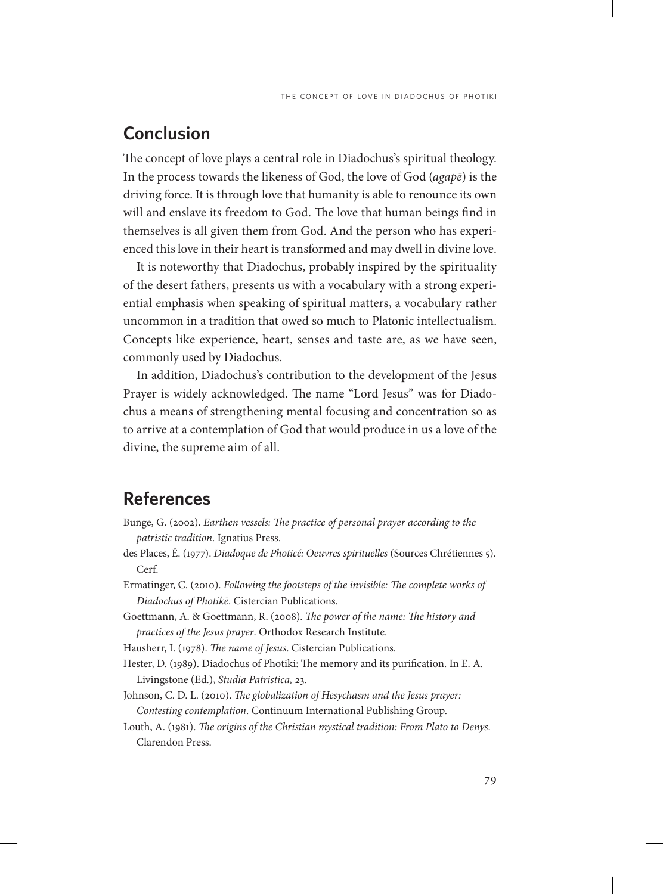#### **Conclusion**

The concept of love plays a central role in Diadochus's spiritual theology. In the process towards the likeness of God, the love of God (*agapē*) is the driving force. It is through love that humanity is able to renounce its own will and enslave its freedom to God. The love that human beings find in themselves is all given them from God. And the person who has experienced this love in their heart is transformed and may dwell in divine love.

It is noteworthy that Diadochus, probably inspired by the spirituality of the desert fathers, presents us with a vocabulary with a strong experiential emphasis when speaking of spiritual matters, a vocabulary rather uncommon in a tradition that owed so much to Platonic intellectualism. Concepts like experience, heart, senses and taste are, as we have seen, commonly used by Diadochus.

In addition, Diadochus's contribution to the development of the Jesus Prayer is widely acknowledged. The name "Lord Jesus" was for Diadochus a means of strengthening mental focusing and concentration so as to arrive at a contemplation of God that would produce in us a love of the divine, the supreme aim of all.

#### **References**

- Bunge, G. (2002). *Earthen vessels: The practice of personal prayer according to the patristic tradition*. Ignatius Press.
- des Places, É. (1977). *Diadoque de Photicé: Oeuvres spirituelles* (Sources Chrétiennes 5). Cerf.
- Ermatinger, C. (2010). *Following the footsteps of the invisible: The complete works of Diadochus of Photikē*. Cistercian Publications.
- Goettmann, A. & Goettmann, R. (2008). *The power of the name: The history and practices of the Jesus prayer*. Orthodox Research Institute.

Hausherr, I. (1978). *The name of Jesus*. Cistercian Publications.

- Hester, D. (1989). Diadochus of Photiki: The memory and its purification. In E. A. Livingstone (Ed.), *Studia Patristica,* 23.
- Johnson, C. D. L. (2010). *The globalization of Hesychasm and the Jesus prayer: Contesting contemplation*. Continuum International Publishing Group.
- Louth, A. (1981). *The origins of the Christian mystical tradition: From Plato to Denys*. Clarendon Press.